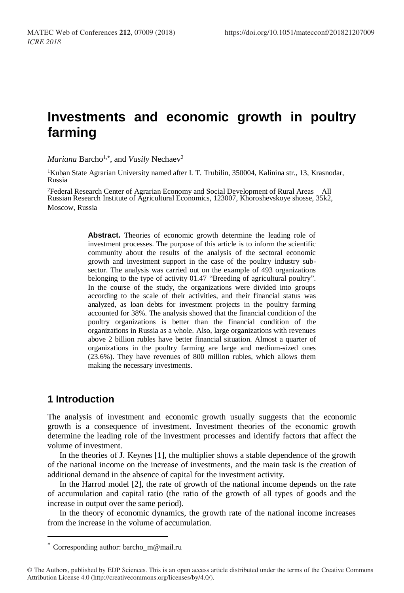# **Investments and economic growth in poultry farming**

*Mariana* Barcho<sup>1,\*</sup>, and *Vasily* Nechaev<sup>2</sup>

<sup>1</sup>Kuban State Agrarian University named after I. T. Trubilin, 350004, Kalinina str., 13, Krasnodar, Russia

<sup>2</sup>Federal Research Center of Agrarian Economy and Social Development of Rural Areas – All Russian Research Institute of Agricultural Economics, 123007, Khoroshevskoye shosse, 35k2, Moscow, Russia

> **Abstract.** Theories of economic growth determine the leading role of investment processes. The purpose of this article is to inform the scientific community about the results of the analysis of the sectoral economic growth and investment support in the case of the poultry industry subsector. The analysis was carried out on the example of 493 organizations belonging to the type of activity 01.47 "Breeding of agricultural poultry". In the course of the study, the organizations were divided into groups according to the scale of their activities, and their financial status was analyzed, as loan debts for investment projects in the poultry farming accounted for 38%. The analysis showed that the financial condition of the poultry organizations is better than the financial condition of the organizations in Russia as a whole. Also, large organizations with revenues above 2 billion rubles have better financial situation. Almost a quarter of organizations in the poultry farming are large and medium-sized ones (23.6%). They have revenues of 800 million rubles, which allows them making the necessary investments.

# **1 Introduction**

The analysis of investment and economic growth usually suggests that the economic growth is a consequence of investment. Investment theories of the economic growth determine the leading role of the investment processes and identify factors that affect the volume of investment.

In the theories of J. Keynes [1], the multiplier shows a stable dependence of the growth of the national income on the increase of investments, and the main task is the creation of additional demand in the absence of capital for the investment activity.

In the Harrod model [2], the rate of growth of the national income depends on the rate of accumulation and capital ratio (the ratio of the growth of all types of goods and the increase in output over the same period).

In the theory of economic dynamics, the growth rate of the national income increases from the increase in the volume of accumulation.

<sup>\*</sup> Corresponding author: barcho  $m@$ mail.ru

<sup>©</sup> The Authors, published by EDP Sciences. This is an open access article distributed under the terms of the Creative Commons Attribution License 4.0 (http://creativecommons.org/licenses/by/4.0/).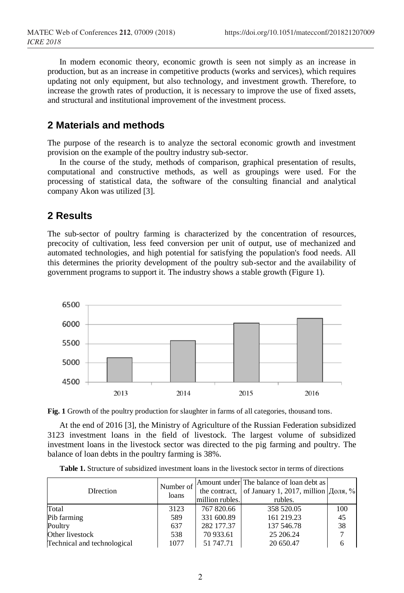In modern economic theory, economic growth is seen not simply as an increase in production, but as an increase in competitive products (works and services), which requires updating not only equipment, but also technology, and investment growth. Therefore, to increase the growth rates of production, it is necessary to improve the use of fixed assets, and structural and institutional improvement of the investment process.

# **2 Materials and methods**

The purpose of the research is to analyze the sectoral economic growth and investment provision on the example of the poultry industry sub-sector.

In the course of the study, methods of comparison, graphical presentation of results, computational and constructive methods, as well as groupings were used. For the processing of statistical data, the software of the consulting financial and analytical company Akon was utilized [3].

#### **2 Results**

The sub-sector of poultry farming is characterized by the concentration of resources, precocity of cultivation, less feed conversion per unit of output, use of mechanized and automated technologies, and high potential for satisfying the population's food needs. All this determines the priority development of the poultry sub-sector and the availability of government programs to support it. The industry shows a stable growth (Figure 1).



**Fig. 1** Growth of the poultry production for slaughter in farms of all categories, thousand tons.

At the end of 2016 [3], the Ministry of Agriculture of the Russian Federation subsidized 3123 investment loans in the field of livestock. The largest volume of subsidized investment loans in the livestock sector was directed to the pig farming and poultry. The balance of loan debts in the poultry farming is 38%.

| DIrection                   | loans | million rubles. | Number of Amount under The balance of loan debt as<br>the contract, of January 1, 2017, million Доля, %<br>rubles. |     |
|-----------------------------|-------|-----------------|--------------------------------------------------------------------------------------------------------------------|-----|
| Total                       | 3123  | 767 820.66      | 358 520.05                                                                                                         | 100 |
| Pib farming                 | 589   | 331 600.89      | 161 219.23                                                                                                         | 45  |
| Poultry                     | 637   | 282 177.37      | 137 546.78                                                                                                         | 38  |
| Other livestock             | 538   | 70 933.61       | 25 206.24                                                                                                          |     |
| Technical and technological | 1077  | 51 747.71       | 20 650.47                                                                                                          |     |

**Table 1.** Structure of subsidized investment loans in the livestock sector in terms of directions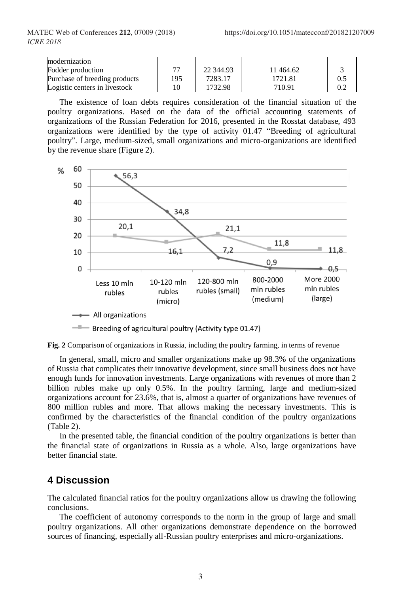| modernization                 |     |           |          |  |
|-------------------------------|-----|-----------|----------|--|
| Fodder production             | 77  | 22 344.93 | 11464.62 |  |
| Purchase of breeding products | 195 | 7283.17   | 1721.81  |  |
| Logistic centers in livestock |     | 1732.98   | 710.91   |  |

The existence of loan debts requires consideration of the financial situation of the poultry organizations. Based on the data of the official accounting statements of organizations of the Russian Federation for 2016, presented in the Rosstat database, 493 organizations were identified by the type of activity 01.47 "Breeding of agricultural poultry". Large, medium-sized, small organizations and micro-organizations are identified by the revenue share (Figure 2).





In general, small, micro and smaller organizations make up 98.3% of the organizations of Russia that complicates their innovative development, since small business does not have enough funds for innovation investments. Large organizations with revenues of more than 2 billion rubles make up only 0.5%. In the poultry farming, large and medium-sized organizations account for 23.6%, that is, almost a quarter of organizations have revenues of 800 million rubles and more. That allows making the necessary investments. This is confirmed by the characteristics of the financial condition of the poultry organizations (Table 2).

In the presented table, the financial condition of the poultry organizations is better than the financial state of organizations in Russia as a whole. Also, large organizations have better financial state.

# **4 Discussion**

The calculated financial ratios for the poultry organizations allow us drawing the following conclusions.

The coefficient of autonomy corresponds to the norm in the group of large and small poultry organizations. All other organizations demonstrate dependence on the borrowed sources of financing, especially all-Russian poultry enterprises and micro-organizations.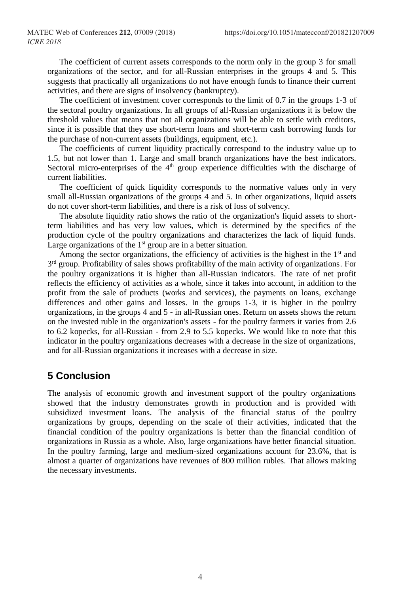The coefficient of current assets corresponds to the norm only in the group 3 for small organizations of the sector, and for all-Russian enterprises in the groups 4 and 5. This suggests that practically all organizations do not have enough funds to finance their current activities, and there are signs of insolvency (bankruptcy).

The coefficient of investment cover corresponds to the limit of 0.7 in the groups 1-3 of the sectoral poultry organizations. In all groups of all-Russian organizations it is below the threshold values that means that not all organizations will be able to settle with creditors, since it is possible that they use short-term loans and short-term cash borrowing funds for the purchase of non-current assets (buildings, equipment, etc.).

The coefficients of current liquidity practically correspond to the industry value up to 1.5, but not lower than 1. Large and small branch organizations have the best indicators. Sectoral micro-enterprises of the  $4<sup>th</sup>$  group experience difficulties with the discharge of current liabilities.

The coefficient of quick liquidity corresponds to the normative values only in very small all-Russian organizations of the groups 4 and 5. In other organizations, liquid assets do not cover short-term liabilities, and there is a risk of loss of solvency.

The absolute liquidity ratio shows the ratio of the organization's liquid assets to shortterm liabilities and has very low values, which is determined by the specifics of the production cycle of the poultry organizations and characterizes the lack of liquid funds. Large organizations of the  $1<sup>st</sup>$  group are in a better situation.

Among the sector organizations, the efficiency of activities is the highest in the 1<sup>st</sup> and 3<sup>rd</sup> group. Profitability of sales shows profitability of the main activity of organizations. For the poultry organizations it is higher than all-Russian indicators. The rate of net profit reflects the efficiency of activities as a whole, since it takes into account, in addition to the profit from the sale of products (works and services), the payments on loans, exchange differences and other gains and losses. In the groups 1-3, it is higher in the poultry organizations, in the groups 4 and 5 - in all-Russian ones. Return on assets shows the return on the invested ruble in the organization's assets - for the poultry farmers it varies from 2.6 to 6.2 kopecks, for all-Russian - from 2.9 to 5.5 kopecks. We would like to note that this indicator in the poultry organizations decreases with a decrease in the size of organizations, and for all-Russian organizations it increases with a decrease in size.

# **5 Conclusion**

The analysis of economic growth and investment support of the poultry organizations showed that the industry demonstrates growth in production and is provided with subsidized investment loans. The analysis of the financial status of the poultry organizations by groups, depending on the scale of their activities, indicated that the financial condition of the poultry organizations is better than the financial condition of organizations in Russia as a whole. Also, large organizations have better financial situation. In the poultry farming, large and medium-sized organizations account for 23.6%, that is almost a quarter of organizations have revenues of 800 million rubles. That allows making the necessary investments.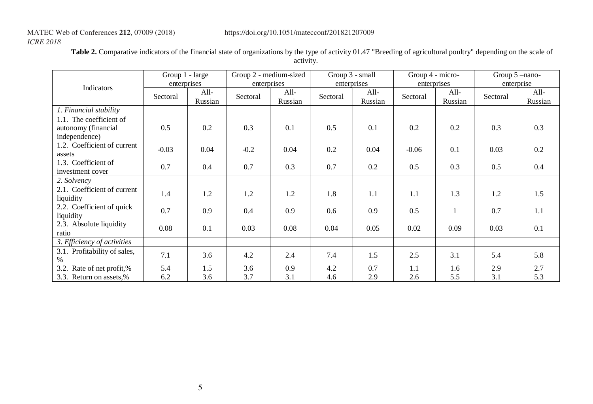# *ICRE 2018*

|                                                                 | Group 1 - large |                 | Group 2 - medium-sized |                   | Group 3 - small |                 | Group 4 - micro- |                 | Group $5$ -nano- |                 |
|-----------------------------------------------------------------|-----------------|-----------------|------------------------|-------------------|-----------------|-----------------|------------------|-----------------|------------------|-----------------|
| Indicators                                                      | enterprises     |                 | enterprises            |                   | enterprises     |                 | enterprises      |                 | enterprise       |                 |
|                                                                 | Sectoral        | All-<br>Russian | Sectoral               | $All-$<br>Russian | Sectoral        | All-<br>Russian | Sectoral         | All-<br>Russian | Sectoral         | All-<br>Russian |
| 1. Financial stability                                          |                 |                 |                        |                   |                 |                 |                  |                 |                  |                 |
| 1.1. The coefficient of<br>autonomy (financial<br>independence) | 0.5             | 0.2             | 0.3                    | 0.1               | 0.5             | 0.1             | 0.2              | 0.2             | 0.3              | 0.3             |
| 1.2. Coefficient of current<br>assets                           | $-0.03$         | 0.04            | $-0.2$                 | 0.04              | 0.2             | 0.04            | $-0.06$          | 0.1             | 0.03             | 0.2             |
| 1.3. Coefficient of<br>investment cover                         | 0.7             | 0.4             | 0.7                    | 0.3               | 0.7             | 0.2             | 0.5              | 0.3             | 0.5              | 0.4             |
| 2. Solvency                                                     |                 |                 |                        |                   |                 |                 |                  |                 |                  |                 |
| 2.1. Coefficient of current<br>liquidity                        | 1.4             | 1.2             | 1.2                    | 1.2               | 1.8             | 1.1             | 1.1              | 1.3             | 1.2              | 1.5             |
| 2.2. Coefficient of quick<br>liquidity                          | 0.7             | 0.9             | 0.4                    | 0.9               | 0.6             | 0.9             | 0.5              |                 | 0.7              | 1.1             |
| 2.3. Absolute liquidity<br>ratio                                | 0.08            | 0.1             | 0.03                   | 0.08              | 0.04            | 0.05            | 0.02             | 0.09            | 0.03             | 0.1             |
| 3. Efficiency of activities                                     |                 |                 |                        |                   |                 |                 |                  |                 |                  |                 |
| 3.1. Profitability of sales,<br>$\%$                            | 7.1             | 3.6             | 4.2                    | 2.4               | 7.4             | 1.5             | 2.5              | 3.1             | 5.4              | 5.8             |
| 3.2. Rate of net profit,%                                       | 5.4             | 1.5             | 3.6                    | 0.9               | 4.2             | 0.7             | 1.1              | 1.6             | 2.9              | 2.7             |
| 3.3. Return on assets,%                                         | 6.2             | 3.6             | 3.7                    | 3.1               | 4.6             | 2.9             | 2.6              | 5.5             | 3.1              | 5.3             |

Table 2. Comparative indicators of the financial state of organizations by the type of activity 01.47 "Breeding of agricultural poultry" depending on the scale of activity.